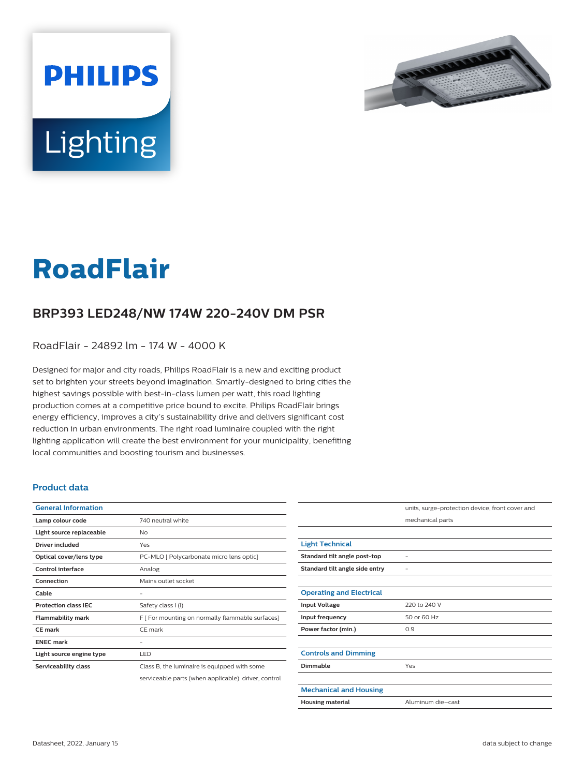



# **RoadFlair**

## **BRP393 LED248/NW 174W 220-240V DM PSR**

RoadFlair - 24892 lm - 174 W - 4000 K

Designed for major and city roads, Philips RoadFlair is a new and exciting product set to brighten your streets beyond imagination. Smartly-designed to bring cities the highest savings possible with best-in-class lumen per watt, this road lighting production comes at a competitive price bound to excite. Philips RoadFlair brings energy efficiency, improves a city's sustainability drive and delivers significant cost reduction in urban environments. The right road luminaire coupled with the right lighting application will create the best environment for your municipality, benefiting local communities and boosting tourism and businesses.

#### **Product data**

| <b>General Information</b>  |                                                      |
|-----------------------------|------------------------------------------------------|
| Lamp colour code            | 740 neutral white                                    |
| Light source replaceable    | No                                                   |
| Driver included             | Yes                                                  |
| Optical cover/lens type     | PC-MLO [ Polycarbonate micro lens optic]             |
| <b>Control interface</b>    | Analog                                               |
| Connection                  | Mains outlet socket                                  |
| Cable                       |                                                      |
| <b>Protection class IEC</b> | Safety class I (I)                                   |
| <b>Flammability mark</b>    | F [ For mounting on normally flammable surfaces]     |
| <b>CE</b> mark              | CE mark                                              |
| <b>FNFC</b> mark            |                                                      |
| Light source engine type    | LED                                                  |
| Serviceability class        | Class B, the luminaire is equipped with some         |
|                             | serviceable parts (when applicable): driver, control |

|                                 | units, surge-protection device, front cover and |
|---------------------------------|-------------------------------------------------|
|                                 | mechanical parts                                |
|                                 |                                                 |
| <b>Light Technical</b>          |                                                 |
| Standard tilt angle post-top    |                                                 |
| Standard tilt angle side entry  |                                                 |
|                                 |                                                 |
| <b>Operating and Electrical</b> |                                                 |
| <b>Input Voltage</b>            | 220 to 240 V                                    |
| Input frequency                 | 50 or 60 Hz                                     |
| Power factor (min.)             | 0.9                                             |
|                                 |                                                 |
| <b>Controls and Dimming</b>     |                                                 |
| Dimmable                        | Yes                                             |
|                                 |                                                 |
| <b>Mechanical and Housing</b>   |                                                 |
| <b>Housing material</b>         | Aluminum die-cast                               |
|                                 |                                                 |